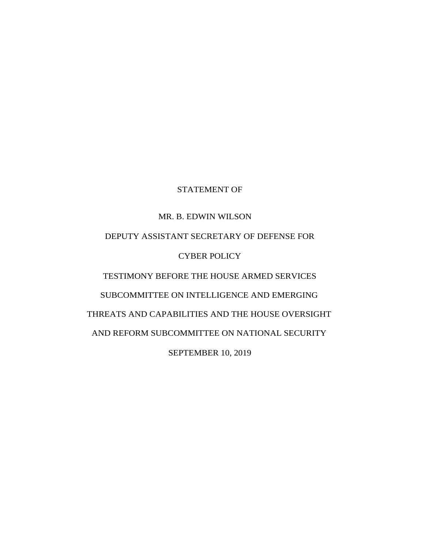# STATEMENT OF

# MR. B. EDWIN WILSON DEPUTY ASSISTANT SECRETARY OF DEFENSE FOR CYBER POLICY TESTIMONY BEFORE THE HOUSE ARMED SERVICES SUBCOMMITTEE ON INTELLIGENCE AND EMERGING THREATS AND CAPABILITIES AND THE HOUSE OVERSIGHT AND REFORM SUBCOMMITTEE ON NATIONAL SECURITY SEPTEMBER 10, 2019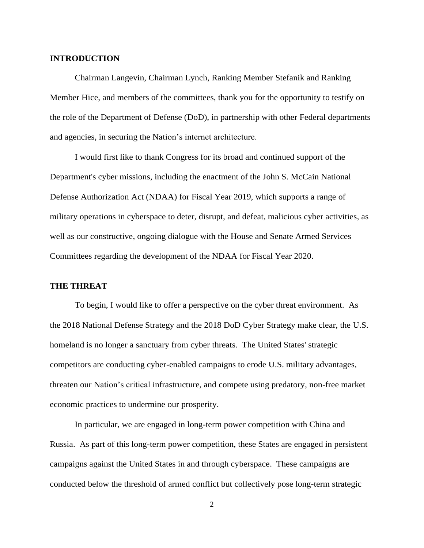#### **INTRODUCTION**

Chairman Langevin, Chairman Lynch, Ranking Member Stefanik and Ranking Member Hice, and members of the committees, thank you for the opportunity to testify on the role of the Department of Defense (DoD), in partnership with other Federal departments and agencies, in securing the Nation's internet architecture.

I would first like to thank Congress for its broad and continued support of the Department's cyber missions, including the enactment of the John S. McCain National Defense Authorization Act (NDAA) for Fiscal Year 2019, which supports a range of military operations in cyberspace to deter, disrupt, and defeat, malicious cyber activities, as well as our constructive, ongoing dialogue with the House and Senate Armed Services Committees regarding the development of the NDAA for Fiscal Year 2020.

## **THE THREAT**

To begin, I would like to offer a perspective on the cyber threat environment. As the 2018 National Defense Strategy and the 2018 DoD Cyber Strategy make clear, the U.S. homeland is no longer a sanctuary from cyber threats. The United States' strategic competitors are conducting cyber-enabled campaigns to erode U.S. military advantages, threaten our Nation's critical infrastructure, and compete using predatory, non-free market economic practices to undermine our prosperity.

In particular, we are engaged in long-term power competition with China and Russia. As part of this long-term power competition, these States are engaged in persistent campaigns against the United States in and through cyberspace. These campaigns are conducted below the threshold of armed conflict but collectively pose long-term strategic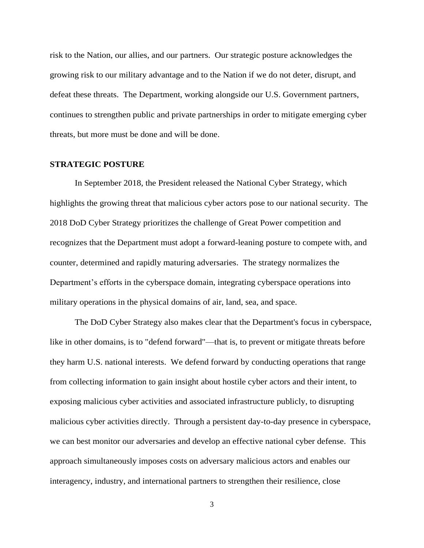risk to the Nation, our allies, and our partners. Our strategic posture acknowledges the growing risk to our military advantage and to the Nation if we do not deter, disrupt, and defeat these threats. The Department, working alongside our U.S. Government partners, continues to strengthen public and private partnerships in order to mitigate emerging cyber threats, but more must be done and will be done.

### **STRATEGIC POSTURE**

In September 2018, the President released the National Cyber Strategy, which highlights the growing threat that malicious cyber actors pose to our national security. The 2018 DoD Cyber Strategy prioritizes the challenge of Great Power competition and recognizes that the Department must adopt a forward-leaning posture to compete with, and counter, determined and rapidly maturing adversaries. The strategy normalizes the Department's efforts in the cyberspace domain, integrating cyberspace operations into military operations in the physical domains of air, land, sea, and space.

The DoD Cyber Strategy also makes clear that the Department's focus in cyberspace, like in other domains, is to "defend forward"—that is, to prevent or mitigate threats before they harm U.S. national interests. We defend forward by conducting operations that range from collecting information to gain insight about hostile cyber actors and their intent, to exposing malicious cyber activities and associated infrastructure publicly, to disrupting malicious cyber activities directly. Through a persistent day-to-day presence in cyberspace, we can best monitor our adversaries and develop an effective national cyber defense. This approach simultaneously imposes costs on adversary malicious actors and enables our interagency, industry, and international partners to strengthen their resilience, close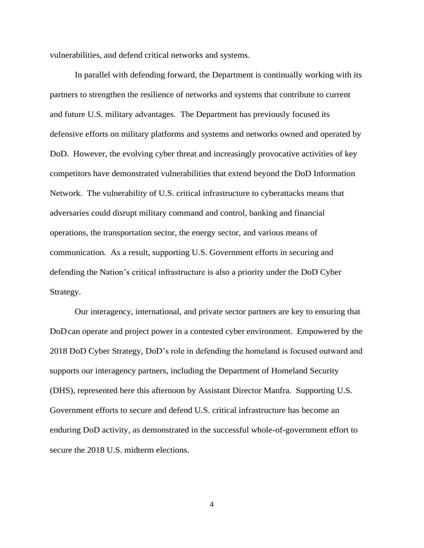vulnerabilities, and defend critical networks and systems.

In parallel with defending forward, the Department is continually working with its partners to strengthen the resilience of networks and systems that contribute to current and future U.S. military advantages. The Department has previously focused its defensive efforts on military platforms and systems and networks owned and operated by DoD. However, the evolving cyber threat and increasingly provocative activities of key competitors have demonstrated vulnerabilities that extend beyond the DoD Information Network. The vulnerability of U.S. critical infrastructure to cyberattacks means that adversaries could disrupt military command and control, banking and financial operations, the transportation sector, the energy sector, and various means of communication. As a result, supporting U.S. Government efforts in securing and defending the Nation's critical infrastructure is also a priority under the DoD Cyber Strategy.

Our interagency, international, and private sector partners are key to ensuring that DoDcan operate and project power in a contested cyber environment. Empowered by the 2018 DoD Cyber Strategy, DoD's role in defending the homeland is focused outward and supports our interagency partners, including the Department of Homeland Security (DHS), represented here this afternoon by Assistant Director Manfra. Supporting U.S. Government efforts to secure and defend U.S. critical infrastructure has become an enduring DoD activity, as demonstrated in the successful whole-of-government effort to secure the 2018 U.S. midterm elections.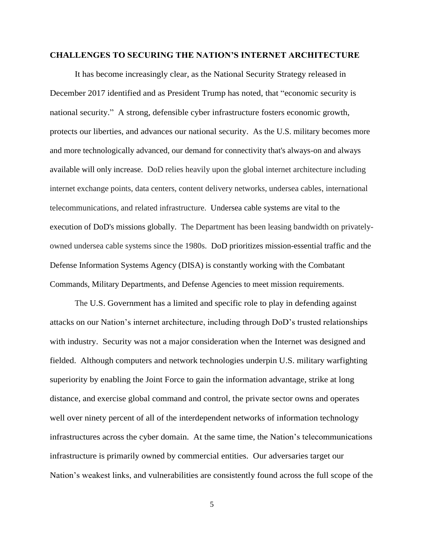#### **CHALLENGES TO SECURING THE NATION'S INTERNET ARCHITECTURE**

It has become increasingly clear, as the National Security Strategy released in December 2017 identified and as President Trump has noted, that "economic security is national security." A strong, defensible cyber infrastructure fosters economic growth, protects our liberties, and advances our national security. As the U.S. military becomes more and more technologically advanced, our demand for connectivity that's always-on and always available will only increase. DoD relies heavily upon the global internet architecture including internet exchange points, data centers, content delivery networks, undersea cables, international telecommunications, and related infrastructure. Undersea cable systems are vital to the execution of DoD's missions globally. The Department has been leasing bandwidth on privatelyowned undersea cable systems since the 1980s. DoD prioritizes mission-essential traffic and the Defense Information Systems Agency (DISA) is constantly working with the Combatant Commands, Military Departments, and Defense Agencies to meet mission requirements.

The U.S. Government has a limited and specific role to play in defending against attacks on our Nation's internet architecture, including through DoD's trusted relationships with industry. Security was not a major consideration when the Internet was designed and fielded. Although computers and network technologies underpin U.S. military warfighting superiority by enabling the Joint Force to gain the information advantage, strike at long distance, and exercise global command and control, the private sector owns and operates well over ninety percent of all of the interdependent networks of information technology infrastructures across the cyber domain. At the same time, the Nation's telecommunications infrastructure is primarily owned by commercial entities. Our adversaries target our Nation's weakest links, and vulnerabilities are consistently found across the full scope of the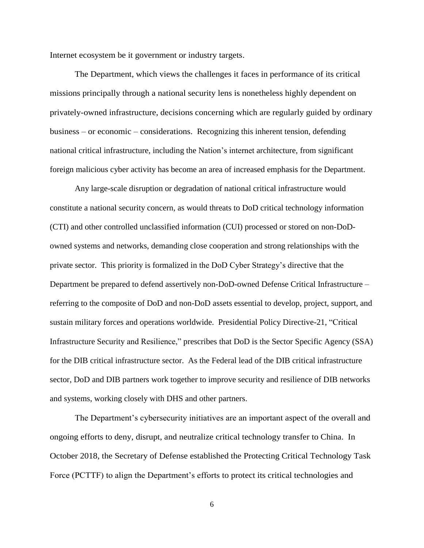Internet ecosystem be it government or industry targets.

The Department, which views the challenges it faces in performance of its critical missions principally through a national security lens is nonetheless highly dependent on privately-owned infrastructure, decisions concerning which are regularly guided by ordinary business – or economic – considerations. Recognizing this inherent tension, defending national critical infrastructure, including the Nation's internet architecture, from significant foreign malicious cyber activity has become an area of increased emphasis for the Department.

Any large-scale disruption or degradation of national critical infrastructure would constitute a national security concern, as would threats to DoD critical technology information (CTI) and other controlled unclassified information (CUI) processed or stored on non-DoDowned systems and networks, demanding close cooperation and strong relationships with the private sector. This priority is formalized in the DoD Cyber Strategy's directive that the Department be prepared to defend assertively non-DoD-owned Defense Critical Infrastructure – referring to the composite of DoD and non-DoD assets essential to develop, project, support, and sustain military forces and operations worldwide. Presidential Policy Directive-21, "Critical Infrastructure Security and Resilience," prescribes that DoD is the Sector Specific Agency (SSA) for the DIB critical infrastructure sector. As the Federal lead of the DIB critical infrastructure sector, DoD and DIB partners work together to improve security and resilience of DIB networks and systems, working closely with DHS and other partners.

The Department's cybersecurity initiatives are an important aspect of the overall and ongoing efforts to deny, disrupt, and neutralize critical technology transfer to China. In October 2018, the Secretary of Defense established the Protecting Critical Technology Task Force (PCTTF) to align the Department's efforts to protect its critical technologies and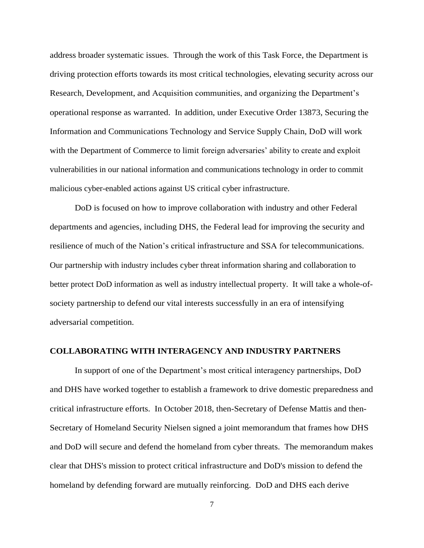address broader systematic issues. Through the work of this Task Force, the Department is driving protection efforts towards its most critical technologies, elevating security across our Research, Development, and Acquisition communities, and organizing the Department's operational response as warranted. In addition, under Executive Order 13873, Securing the Information and Communications Technology and Service Supply Chain, DoD will work with the Department of Commerce to limit foreign adversaries' ability to create and exploit vulnerabilities in our national information and communications technology in order to commit malicious cyber-enabled actions against US critical cyber infrastructure.

DoD is focused on how to improve collaboration with industry and other Federal departments and agencies, including DHS, the Federal lead for improving the security and resilience of much of the Nation's critical infrastructure and SSA for telecommunications. Our partnership with industry includes cyber threat information sharing and collaboration to better protect DoD information as well as industry intellectual property. It will take a whole-ofsociety partnership to defend our vital interests successfully in an era of intensifying adversarial competition.

#### **COLLABORATING WITH INTERAGENCY AND INDUSTRY PARTNERS**

In support of one of the Department's most critical interagency partnerships, DoD and DHS have worked together to establish a framework to drive domestic preparedness and critical infrastructure efforts. In October 2018, then-Secretary of Defense Mattis and then-Secretary of Homeland Security Nielsen signed a joint memorandum that frames how DHS and DoD will secure and defend the homeland from cyber threats. The memorandum makes clear that DHS's mission to protect critical infrastructure and DoD's mission to defend the homeland by defending forward are mutually reinforcing. DoD and DHS each derive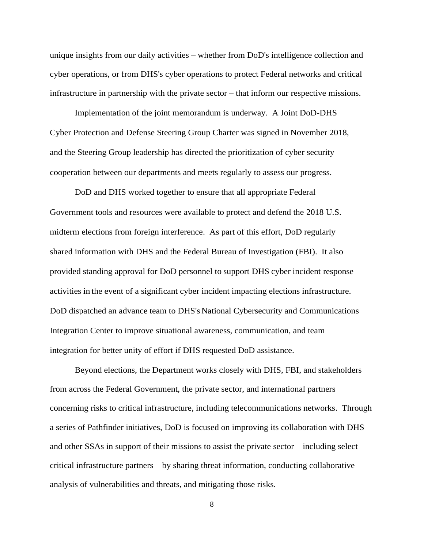unique insights from our daily activities – whether from DoD's intelligence collection and cyber operations, or from DHS's cyber operations to protect Federal networks and critical infrastructure in partnership with the private sector – that inform our respective missions.

Implementation of the joint memorandum is underway. A Joint DoD-DHS Cyber Protection and Defense Steering Group Charter was signed in November 2018, and the Steering Group leadership has directed the prioritization of cyber security cooperation between our departments and meets regularly to assess our progress.

DoD and DHS worked together to ensure that all appropriate Federal Government tools and resources were available to protect and defend the 2018 U.S. midterm elections from foreign interference. As part of this effort, DoD regularly shared information with DHS and the Federal Bureau of Investigation (FBI). It also provided standing approval for DoD personnel to support DHS cyber incident response activities in the event of a significant cyber incident impacting elections infrastructure. DoD dispatched an advance team to DHS's National Cybersecurity and Communications Integration Center to improve situational awareness, communication, and team integration for better unity of effort if DHS requested DoD assistance.

Beyond elections, the Department works closely with DHS, FBI, and stakeholders from across the Federal Government, the private sector, and international partners concerning risks to critical infrastructure, including telecommunications networks. Through a series of Pathfinder initiatives, DoD is focused on improving its collaboration with DHS and other SSAs in support of their missions to assist the private sector – including select critical infrastructure partners – by sharing threat information, conducting collaborative analysis of vulnerabilities and threats, and mitigating those risks.